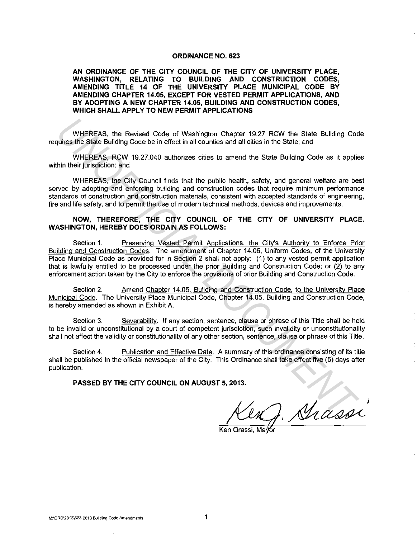#### **ORDINANCE NO. 623**

**AN ORDINANCE OF THE CITY COUNCIL OF THE CITY OF UNIVERSITY PLACE, WASHINGTON, RELATING TO BUILDING AND CONSTRUCTION CODES, AMENDING TITLE 14 OF THE UNIVERSITY PLACE MUNICIPAL CODE BY AMENDING CHAPTER 14.05, EXCEPT FOR VESTED PERMIT APPLICATIONS, AND BY ADOPTING A NEW CHAPTER 14.05, BUILDING AND CONSTRUCTION CODES, WHICH SHALL APPLY TO NEW PERMIT APPLICATIONS** 

WHEREAS, the Revised Code of Washington Chapter 19.27 RCW the State Building Code requires the State Building Code be in effect in all counties and all cities in the State; and

WHEREAS, RCW 19.27.040 authorizes cities to amend the State Building Code as it applies within their jurisdiction; and

WHEREAS, the City Council finds that the public health, safety, and general welfare are best served by adopting and enforcing building and construction codes that require minimum performance standards of construction and construction materials, consistent with accepted standards of engineering, fire and life safety, and to permit the use of modern technical methods, devices and improvements.

# **NOW, THEREFORE, THE CITY COUNCIL OF THE CITY OF UNIVERSITY PLACE, WASHINGTON, HEREBY DOES ORDAIN AS FOLLOWS:**

Section 1. Preserving Vested Permit Applications, the City's Authority to Enforce Prior Building and Construction Codes. The amendment of Chapter 14.05, Uniform Codes, of the University Place Municipal Code as provided for in Section 2 shall not apply: (1) to any vested permit application that is lawfully entitled to be processed under the prior Building and Construction Code; or (2) to any enforcement action taken by the City to enforce the provisions of prior Building and Construction Code. WHEREAS, the Revised Code of Washington Chapter 19.27 RCW the State Building Code<br>time state Building Code be in effect in all counties and all othes in the State and<br>interesting and<br>wHEREAS, RCW 19.27.040 authorizes citie

Section 2. Amend Chapter 14.05. Building and Construction Code, to the University Place Municipal Code. The University Place Municipal Code, Chapter 14.05, Building and Construction Code, is hereby amended as shown in Exhibit A.

Section 3. Severability. If any section, sentence, clause or phrase of this Title shall be held to be invalid or unconstitutional by a court of competent jurisdiction, such invalidity or unconstitutionality shall not affect the validity or constitutionality of any other section, sentence, clause or phrase of this Title.

Section 4. Publication and Effective Date. A summary of this ordinance consisting of its title shall be published in the official newspaper of the City. This Ordinance shall take effect five (5) days after publication.

**PASSED BY THE CITY COUNCIL ON AUGUST 5, 2013.** 

Ken Grassi, Mavo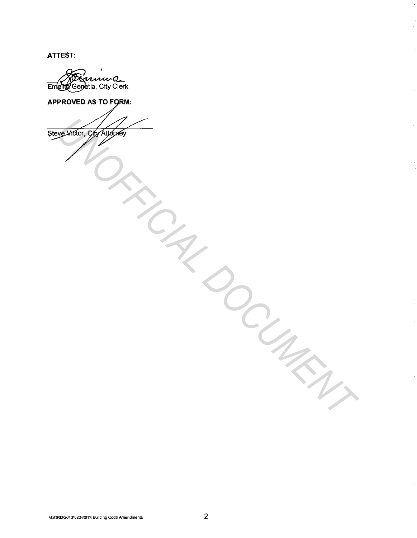ATTEST:

Emette Genetia, City Clerk

**APPROVED AS TO FORM:** 

**SURFICIAL DOCUMENT**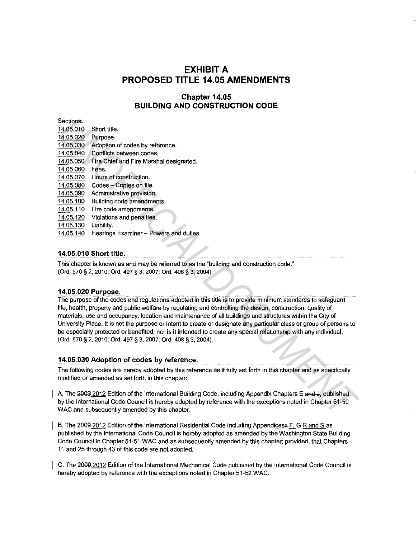# **EXHIBIT A PROPOSED TITLE 14.05 AMENDMENTS**

# **Chapter 14.05 BUILDING AND CONSTRUCTION CODE**

| Sections:                                                                                                                                                                                                                                                                                                                                         |                                                                                                                                                                         |
|---------------------------------------------------------------------------------------------------------------------------------------------------------------------------------------------------------------------------------------------------------------------------------------------------------------------------------------------------|-------------------------------------------------------------------------------------------------------------------------------------------------------------------------|
| 14.05.010                                                                                                                                                                                                                                                                                                                                         | Short title.                                                                                                                                                            |
| 14.05.020                                                                                                                                                                                                                                                                                                                                         | Purpose.                                                                                                                                                                |
| 14.05.030                                                                                                                                                                                                                                                                                                                                         | Adoption of codes by reference.                                                                                                                                         |
| 14.05.040                                                                                                                                                                                                                                                                                                                                         | Conflicts between codes.                                                                                                                                                |
| 14.05.050                                                                                                                                                                                                                                                                                                                                         | Fire Chief and Fire Marshal designated.                                                                                                                                 |
| 14.05.060                                                                                                                                                                                                                                                                                                                                         | Fees.                                                                                                                                                                   |
| 14.05.070                                                                                                                                                                                                                                                                                                                                         | Hours of construction.                                                                                                                                                  |
| 14.05.080                                                                                                                                                                                                                                                                                                                                         | Codes - Copies on file.                                                                                                                                                 |
| 14.05.090                                                                                                                                                                                                                                                                                                                                         | Administrative provision.                                                                                                                                               |
| 14.05.100                                                                                                                                                                                                                                                                                                                                         | Building code amendments.                                                                                                                                               |
| 14.05.110                                                                                                                                                                                                                                                                                                                                         | Fire code amendments.                                                                                                                                                   |
| 14.05.120                                                                                                                                                                                                                                                                                                                                         | Violations and penalties.                                                                                                                                               |
| 14.05.130                                                                                                                                                                                                                                                                                                                                         | Liability.                                                                                                                                                              |
| 14.05.140                                                                                                                                                                                                                                                                                                                                         | Hearings Examiner - Powers and duties.                                                                                                                                  |
|                                                                                                                                                                                                                                                                                                                                                   |                                                                                                                                                                         |
| 14.05.010 Short title.                                                                                                                                                                                                                                                                                                                            |                                                                                                                                                                         |
| This chapter is known as and may be referred to as the "building and construction code."                                                                                                                                                                                                                                                          |                                                                                                                                                                         |
| (Ord. 570 § 2, 2010; Ord. 497 § 3, 2007; Ord. 408 § 3, 2004).                                                                                                                                                                                                                                                                                     |                                                                                                                                                                         |
|                                                                                                                                                                                                                                                                                                                                                   |                                                                                                                                                                         |
|                                                                                                                                                                                                                                                                                                                                                   | 14.05.020 Purpose.                                                                                                                                                      |
| The purpose of the codes and regulations adopted in this title is to provide minimum standards to safeguard                                                                                                                                                                                                                                       |                                                                                                                                                                         |
| life, health, property and public welfare by regulating and controlling the design, construction, quality of<br>materials, use and occupancy, location and maintenance of all buildings and structures within the City of<br>University Place. It is not the purpose or intent to create or designate any particular class or group of persons to |                                                                                                                                                                         |
| be especially protected or benefited, nor is it intended to create any special relationship with any individual.                                                                                                                                                                                                                                  |                                                                                                                                                                         |
| (Ord. 570 § 2, 2010; Ord. 497 § 3, 2007; Ord. 408 § 3, 2004).                                                                                                                                                                                                                                                                                     |                                                                                                                                                                         |
|                                                                                                                                                                                                                                                                                                                                                   |                                                                                                                                                                         |
|                                                                                                                                                                                                                                                                                                                                                   | 14.05.030 Adoption of codes by reference.                                                                                                                               |
|                                                                                                                                                                                                                                                                                                                                                   | The following codes are hereby adopted by this reference as if fully set forth in this chapter and as specifically<br>modified or amended as set forth in this chapter: |
|                                                                                                                                                                                                                                                                                                                                                   | A. The 2009 2012 Edition of the International Building Code, including Appendix Chapters E and J, published                                                             |
| by the International Code Council is hereby adopted by reference with the exceptions noted in Chapter 51-50<br>WAC and subsequently amended by this chapter.                                                                                                                                                                                      |                                                                                                                                                                         |
|                                                                                                                                                                                                                                                                                                                                                   |                                                                                                                                                                         |

# **14.05.010 Short title.**

#### **14.05.020 Purpose.**

#### 14,05.030 Adoption of codes by reference.

B. The 2009 2012 Edition of the International Residential Code including Appendices F. G R and S as published by the International Code Council is hereby adopted as amended by the Washington State Building Code Council in Chapter 51-51 WAC and as subsequently amended by this chapter; provided, that Chapters 11 and 25 through 43 of this code are not adopted.

C. The 2009 2012 Edition of the International Mechanical Code published by the International Code Council is hereby adopted by reference with the exceptions noted in Chapter 51-52 WAC.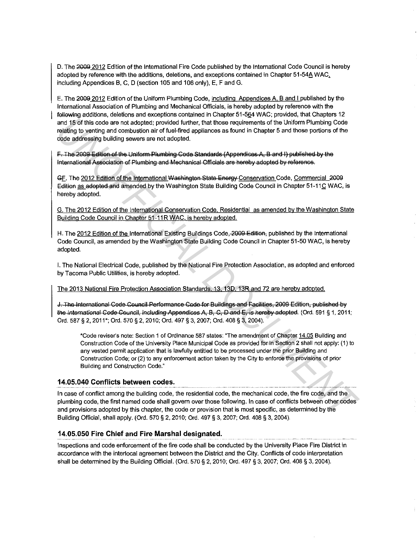D. The 2009 2012 Edition of the International Fire Code published by the International Code Council is hereby adopted by reference with the additions, deletions, and exceptions contained in Chapter 51-54A WAC. including Appendices B, C, D (section 105 and 106 only), E, F and G.

E. The 2009 2012 Edition of the Uniform Plumbing Code, including Appendices A, B and I published by the International Association of Plumbing and Mechanical Officials, is hereby adopted by reference with the following additions, deletions and exceptions contained in Chapter 51-564 WAC; provided, that Chapters 12 and 15 of this code are not adopted; provided further, that those requirements of the Uniform Plumbing Code relating to venting and combustion air of fuel-fired appliances as found in Chapter 5 and those portions of the code addressing building sewers are not adopted.

F. The 2009 Edition of the Uniform Plumbing Code Standards (Appendices A, B and I) published by the International Association of Plumbing and Mechanical Officials are hereby adopted by reference.

GF. The 2012 Edition of the International Washington State Energy Conservation Code, Commercial 2009 Edition as adopted and amended by the Washington State Building Code Council in Chapter 51-11C WAC, is hereby adopted.

G. The 2012 Edition of the International Conservation Code. Residential as amended by the Washington State Building Code Council in Chapter 51-11R WAC, is hereby adopted.

H. The 2012 Edition of the International Existing Buildings Code, 2009 Edition, published by the International Code Council, as amended by the Washington State Building Code Council in Chapter 51-50 WAC, is hereby adopted.

I. The National Electrical Code, published by the National Fire Protection Association, as adopted and enforced by Tacoma Public Utilities, is hereby adopted.

The 2013 National Fire Protection Association Standards, 13, 13D, 13R and 72 are hereby adopted.

J. The International Code Council Performance Code for Buildings and Facilities, 2009 Edition, published by the International Code Council, including Appendices A, B, C, D and E, is hereby adopted. (Ord. 591 § 1, 2011; Ord. 587 § 2, 2011\*; Ord. 570 § 2, 2010; Ord. 497 § 3, 2007; Ord. 408 § 3, 2004).

\*Code reviser's note: Section 1 of Ordinance 587 states: "The amendment of Chapter 14.05 Building and Construction Code of the University Place Municipal Code as provided for in Section 2 shall not apply: (1) to any vested permit application that is lawfully entitled to be processed under the prior Building and Construction Code; or (2) to any enforcement action taken by the City to enforce the provisions of prior Building and Construction Code."

# 14.05.040 Conflicts between codes.

In case of conflict among the building code, the residential code, the mechanical code, the fire code, and the plumbing code, the first named code shall govern over those following. In case of conflicts between other codes and provisions adopted by this chapter, the code or provision that is most specific, as determined by the Building Official, shall apply, (Ord. 570 § 2, 2010; Ord. 497 § 3, 2007; Ord. 408 § 3, 2004).

#### 14.05.050 Fire Chief and Fire Marshal designated.

Inspections and code enforcement of the fire code shall be conducted by the University Place Fire District in accordance with the interlocal agreement between the District and the City. Conflicts of code interpretation shall be determined by the Building Official. (Ord. 570 § 2, 2010; Ord. 497 § 3, 2007; Ord. 408 § 3, 2004).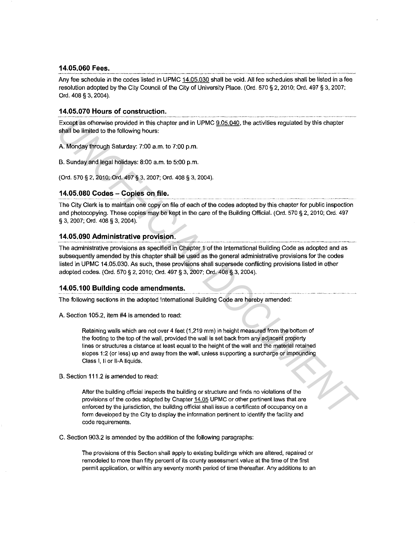#### **14.05.060 Fees.**

Any fee schedule in the codes listed in UPMC 14.05.030 shall be void. All fee schedules shall be listed in a fee resolution adopted by the City Council of the City of University Place. (Ord. 570 § 2, 2010; Ord. 497 § 3, 2007; Ord. 408 § 3, 2004).

#### **14.05.070 Hours of construction.**

Except as otherwise provided in this chapter and in UPMC 9.05.040, the activities regulated by this chapter shall be limited to the following hours:

A. Monday through Saturday: 7:00 a.m. to 7:00 p.m.

B. Sunday and legal holidays: 8:00 a.m. to 5:00 p.m.

(Ord. 570 § 2, 2010; Ord. 497 § 3, 2007; Ord. 408 § 3, 2004).

#### **14.05.080 Codes - Copies on file.**

The City Clerk is to maintain one copy on file of each of the codes adopted by this chapter for public inspection and photocopying. These copies may be kept in the care of the Building Official. (Ord. 570 § 2, 2010; Ord. 497 § 3, 2007; Ord. 408 § 3, 2004).

#### **14.05.090 Administrative provision.**

The administrative provisions as specified in Chapter 1 of the International Building Code as adopted and as subsequently amended by this chapter shall be used as the general administrative provisions for the codes listed in UPMC 14.05.030. As such, these provisions shall supersede conflicting provisions listed in other adopted codes. (Ord. 570 § 2, 2010; Ord. 497 § 3, 2007; Ord. 408 § 3, 2004). Except as otherwise operation this chapter and in UPMC <u>9.05.040</u>, the activities regulated by this chapter<br>**A. Monday through Sauriday 17:00 am.** to 7:00 pm.<br>**A.** Monday through Sauriday: 7:00 am. to 7:00 pm.<br> **UNOFFICIAL** 

#### **14.05.100 Building code amendments.**

The following sections in the adopted International Building Code are hereby amended:

A. Section 105.2, item #4 is amended to read:

Retaining walls which are not over 4 feet (1,219 mm) in height measured from the bottom of the footing to the top of the wall, provided the wall is set back from any adjacent property **lines or structures a distance at least equal to the height of the wall and the material retained**  slopes 1:2 (or less) up and away from the wall, unless supporting a surcharge or impounding Class 1, II or II-A liquids.

B. Section 111.2 is amended to read:

**After the building official inspects the building or structure and finds no violations of the**  provisions of the codes adopted by Chapter 14.05 UPMC or other pertinent laws that are **enforced by the jurisdiction, the building official shall issue a certificate of occupancy on a**  form developed by the City to display the information pertinent to identify the facility and **code requirements.** 

C. Section 903.2 is amended by the addition of the following paragraphs:

**The provisions of this Section shall apply to existing buildings which are altered, repaired or remodeled to more than fifty percent of its county assessment value at the time of the first permit application, or within any seventy month period of time thereafter. Any additions to an**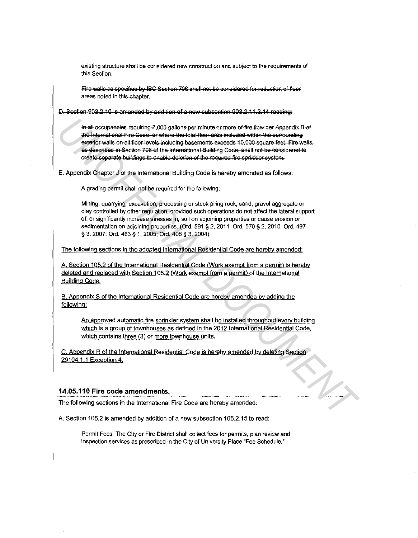existing structure shall be considered new construction and subject to the requirements of this Section.

Fire walls as specified by IBC Section 706 shall not be considered for reduction of floor areas noted in this chapter.

D. Section 903.2.10 is amended by addition of a new subsection 903.2.11.3.14 reading:

In all occupancies requiring 2,000 gallons per minute or more of fire flow per Appendix B of the International Fire Code, or where the total floor area included within the surrounding exterior walls on all floor levels including basements exceeds 10,000 square feet. Fire walls, as described in Section 706 of the International Building Code, shall not be considered to create separate buildings to enable deletion of the required fire sprinkler system.

E. Appendix Chapter J of the International Building Code is hereby amended as follows:

A grading permit shall not be required for the following:

Mining, quarrying, excavation, processing or stock piling rock, sand, gravel aggregate or clay controlled by other regulation, provided such operations do not affect the lateral support of, or significantly increase stresses in, soil on adjoining properties or cause erosion or sedimentation on adjoining properties. (Ord. 591 § 2, 2011; Ord. 570 § 2, 2010; Ord. 497 § 3, 2007; Ord. 463 § 1, 2005; Ord. 408 § 3, 2004).

The following sections in the adopted International Residential Code are hereby amended:

A. Section 105.2 of the International Residential Code (Work exempt from a permit) is hereby deleted and replaced with Section 105.2 (Work exempt from a permit) of the International **Building Code.** 

B. Appendix S of the International Residential Code are hereby amended by adding the following:

An approved automatic fire sprinkler system shall be installed throughout every building which is a group of townhouses as defined in the 2012 International Residential Code, which contains three (3) or more townhouse units.

 $\mathcal{P}_{\mathcal{L}}$ 

C. Appendix R of the International Residential Code is hereby amended by deleting Section 29104.1.1 Exception 4.

# 14.05.110 Fire code amendments.

The following sections in the International Fire Code are hereby amended:

A. Section 105.2 is amended by addition of a new subsection 105.2.15 to read:

Permit Fees. The City or Fire District shall collect fees for permits, plan review and inspection services as prescribed in the City of University Place "Fee Schedule."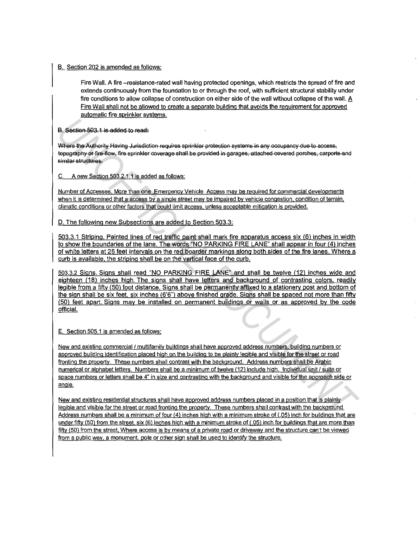#### **B.** Section 202 is amended as follows:

Fire Wall. A fire -resistance-rated wall having protected openings, which restricts the spread of fire and extends continuously from the foundation to or through the roof, with sufficient structural stability under fire conditions to allow collapse of construction on either side of the wall without collapse of the wall. A Fire Wall shall not be allowed to create a separate building that avoids the requirement for approved automatic fire sprinkler systems.

B. Section 503.1 is added to read:

Where the Authority Having Jurisdiction requires sprinkler protection systems in any occupancy due to access, tepography or fire flow, fire sprinkler coverage shall be provided in garages, attached cevered perches, carports and similar structures.

C. A new Section 503.2 1.1 is added as follows:

**Number of Accesses. More than one Emergency Vehicle Access may be required for commercial developments when it is determined that a access by a single street may be impaired by vehicle congestion. condition of terrain, climatic conditions or other factors that could limit access. unless acceptable mitigation is provided.** 

D. The following new Subsections are added to Section 503.3:

503.3.1 Striping. Painted lines of red traffic paint shall mark fire apparatus access six (6) inches in width to show the boundaries of the lane. The words "NO PARKING FIRE LANE" shall appear in four (4) inches of white letters at 25 feet intervals on the red boarder markings along both sides of the fire lanes. Where a curb is available. the striping shall be on the vertical face of the curb.

503.3.2 Signs. Signs shall read "NO PARKING FIRE LANE" and shall be twelve (12) inches wide and eighteen (18) inches high. The signs shall have letters and background of contrasting colors, readily legible from a fifty (50) foot distance. Signs shall be permanently affixed to a stationerv post and bottom of the sign shall be six feet, six inches (6'6") above finished grade. Signs shall be spaced not more than fifty (50) feet apart. Signs may be installed on permanent buildings or walls or as approved by the code official.

E. Section 505.1 is amended as follows:

**New and existing commercial I multifamily buildings shall have approved address numbers. building numbers or approved building identification placed high on the building to be plainly legible and visible for the street or road fronting the property. These numbers shall contrast with the background. Address numbers shall be Arabic numerical or alphabet letters. Numbers shall be a minimum of twelve (12) include high. Individual unit / suite or space numbers or letters shall be 4" in size and contrasting with the background and visible for the approach side or**  angle. **B.** Section-503.1 is edided to read:<br>
Where the Adipony Having Jurisdicton requires sprinkler or hection systems in any occupancy due to scores.<br>
Where the Adipony Having Jurisdicton requires sprinkler or hection systems

**New and existing residential structures shall have approved address numbers placed in a position that is plainly legible and visible for the street or road fronting the property. These numbers shall contrast with the backaround. Address numbers shall be a minimum of four (4) inches high with a minimum stroke of (.05) inch for buildings that are under fifty (50) from the street. six (6) inches high with a minimum stroke of (.05) inch for buildings that are more than fifty (50) from the street. Where access is by means of a private road or driveway and the structure can't be viewed**  from a public way, a monument, pole or other sign shall be used to identify the structure.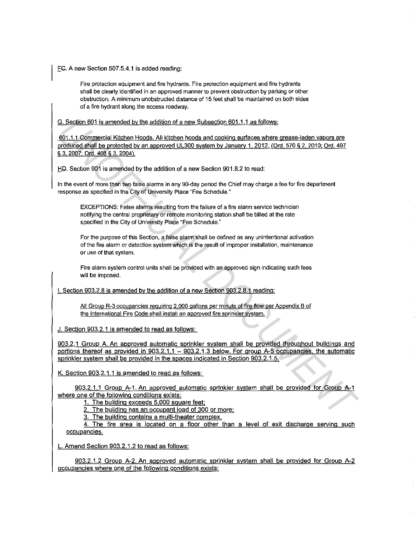EG. A new Section 507.5.4.1 is added reading:

**Fire protection equipment and fire hydrants. Fire protection equipment and fire hydrants shall be clearly identified in an approved manner to prevent obstruction by parking or other obstruction. A minimum unobstructed distance of 15 feet shall be maintained on both sides of a fire hydrant along the access roadway.** 

G. Section 601 is amended by the addition of a new Subsection 601.1.1 as follows:

601.1.1 Commercial Kitchen Hoods. All kitchen hoods and cooking surfaces where grease-laden vapors are produced shall be protected by an approved UL300 system by January 1, 2012. (Ord. 570 § 2, 2010; Ord. 497 § 3, 2007; Ord. 408 § 3, 2004).

HD. Section 901 is amended by the addition of a new Section 901.8.2 to read:

In the event of more than two false alarms in any 90-day period the Chief may charge a fee for fire department response as specified in the City of University Place "Fee Schedule."

**EXCEPTIONS: False alarms resulting from the failure of a fire alarm service technician notifying the central proprietary or remote monitoring station shall be billed at the rate**  specified in the City of University Place "Fee Schedule."

**For the purpose of this Section, a false alarm shall be defined as any unintentional activation of the fire alarm or detection system which is the result of improper installation, maintenance or use of that system.** 

**Fire alarm system control units shall be provided with an approved sign indicating such fees**  will be imposed.

1. Section 903.2.8 is amended by the addition of a new Section 903.2.8.1 reading:

**All Group R-3 occupancies requiring 2.000 gallons per minute of fire flow per Appendix B of the International Fire Code shall install an approved fire sprinkler system.** 

J. Section 903.2.1 is amended to read as follows:

903.2.1 Group A. An approved automatic sprinkler system shall be provided throughout buildings and portions thereof as provided in 903.2.1.1 - 903.2.1.3 below. For group A-5 occupancies, the automatic sprinkler system shall be provided in the spaces indicated in Section 903.2.1.5. **G. Section 801 is emerided by the addition of a new Subsection 601.1.1 as follows:**<br>
801.1.1.0comprecial Kichan Hoods. All kittens hoods and cooking surfaces where greass-laden valors are<br>
901.1.1.0comprecial Kichan Hoods

K. Section 903.2.1.1 is amended to read as follows:

903.2.1.1 Group A-1. An approved automatic sprinkler system shall be provided for Group A-1 where one of the following conditions exists:

1. The building exceeds 5.000 square feet:

2. The building has an occupant load of 300 or more:

3. The building contains a multi-theater complex.

4. The fire area is located on a floor other than a level of exit discharge serving such **occupancies.** 

L. Amend Section 903.2.1.2 to read as follows:

903.2.1.2 Group A-2. An approved automatic sprinkler system shall be provided for Group A-2 occupancies where one of the following conditions exists: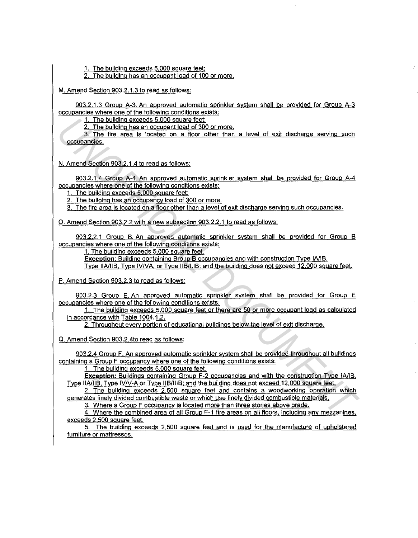1. The building exceeds 5.000 square feet:

2. The building has an occupant load of 100 or more.

M. Amend Section 903.2.1.3 to read as follows:

903.2.1.3 Group A-3. An approved automatic sprinkler system shall be provided for Group A-3 occupancies where one of the following conditions exists:

1. The building exceeds 5.000 square feet:

2. The building has an occupant load of 300 or more.

3. The fire area is located on a floor other than a level of exit discharge serving such **occupancies.** 

N. Amend Section 903.2.1.4 to read as follows:

903.2.1.4 Group A-4. An approved automatic sprinkler system shall be provided for Group A-4 occupancies where one of the following conditions exists:

1. The building exceeds 5.000 square feet;

2. The building has an occupancy load of 300 or more.

3. The fire area is located on a floor other than a level of exit discharge serving such occupancies.

0. Amend Section 903.2.2 with a new subsection 903.2.2.1 to read as follows:

903.2.2.1 Group B. An approved automatic sprinkler system shall be provided for Group B occupancies where one of the following conditions exists:

1. The building exceeds 5.000 square feet.

**Exception: Building containing Broup B occupancies and with construction Type IA/IB.** 

Type llA/llB. Type IVNA. or Tyoe llB/lllB: and the building does not exceed 12.000 square feet.

P. Amend Section 903.2.3 to read as follows:

903.2.3 Group E. An approved automatic sprinkler system shall be provided for Group E occupancies where one of the following conditions exists:

1. The building exceeds 5.000 square feet or there are 50 or more occupant load as calculated in accordance with Table 1004.1.2.

2. Throughout every portion of educational buildings below the level of exit discharge.

0. Amend Section 903.2.4to read as follows:

903.2.4 Group F. An approved automatic sprinkler system shall be provided throughout all buildings containing a Group F occupancy where one of the following conditions exists: 1. The building accedes 5,000 square feet,<br>
2. The building has an accousant basis of 300 smmg,<br>
2. The building has an accousant basis of 300 smmg,<br>
N. Annext Section 903 2.1.4 let area is located on a from other than a

1. The building exceeds 5.000 square feet.

**Exception: Buildings containing Group F-2 occupancies and with the construction Type IA/IB.** Type llA/llB. Type IVN-A or Type llB/lllB; and the building does not exceed 12,000 square feet.

2. The building exceeds 2.500 square feet and contains a woodworking operation which generates finely divided combustible waste or which use finely divided combustible materials.

3. Where a Group F occupancy is located more than three stories above grade.

4. Where the combined area of all Group F-1 fire areas on all floors. including any mezzanines. exceeds 2.500 square feet.

5. The building exceeds 2.500 square feet and is used for the manufacture of upholstered furniture or mattresses.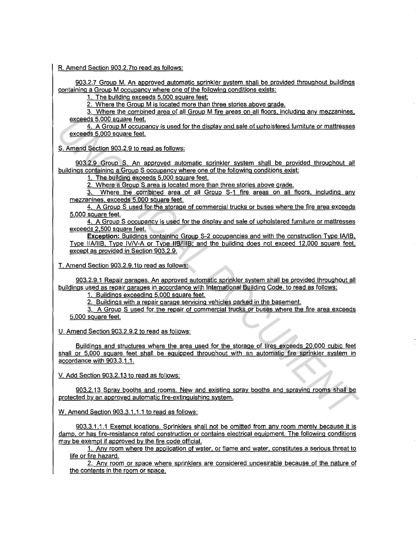#### R. Amend Section 903.2.?to read as follows:

903.2.7 Group M. An approved automatic sprinkler system shall be provided throughout buildings containing a Group M occupancy where one of the following conditions exists:

1. The building exceeds 5,000 square feet:

2. Where the Group M is located more than three stories above grade.

3. Where the combined area of all Group M fire areas on all floors. including any mezzanines. exceeds 5.000 square feet.

4. A Group M occupancy is used for the display and sale of upholstered furniture or mattresses exceeds 5.000 square feet.

S. Amend Section 903.2.9 to read as follows:

903.2.9 Group S. An approved automatic sprinkler system shall be provided throughout all buildings containing a Group S occupancy where one of the following conditions exist:

1. The building exceeds 5.000 square feet.

2. Where a Group S area is located more than three stories above grade.

3. Where the combined area of all Group S-1 fire areas on all floors. including any mezzanines. exceeds 5.000 square feet.

4. A Group S used for the storage of commercial trucks or buses where the fire area exceeds 5.000 square feet.

4. A Group S occupancy is used for the display and sale of upholstered furniture or mattresses exceeds 2,500 square feet.

**Exception:** Buildings containing Group S-2 occupancies and with the construction Type IA/IB. Type IIA/IIB. Type IV/V-A or Type IIB/IIIB; and the building does not exceed 12,000 square feet. except as provided in Section 903.2.9.

T. Amend Section 903.2.9.1to read as follows:

903.2.9.1 Repair garages. An approved automatic sprinkler system shall be provided throughout all buildings used as repair garages in accordance with International Building Code, to read as follows:

1. Buildings exceeding 5.000 square feet.

2. Buildings with a repair garage servicing vehicles parked in the basement.

3. A Group S used for the repair of commercial trucks or buses where the fire area exceeds 5.000 square feet.

U. Amend Section 903.2.9.2 to read as follows:

Buildings and structures where the area used for the storage of tires exceeds 20,000 cubic feet shall or 5.000 square feet shall be equipped throughout with an automatic fire sprinkler system in accordance with 903.3.1.1. exceeds 5,000 square feel.<br>
S. A Group M occupancy is used, for the displey and sale of upholslengd knnlurg or mattresses<br>
S. Amend Section 903.2.1 On a such as follows:<br>
S. Amend Section 903.2.1 On a such as follows:<br>
Dul

V. Add Section 903.2.13 to read as follows:

903.2.13 Spray booths and rooms. New and existing spray booths and spraying rooms shall be protected by an approved automatic fire-extinguishing system.

W. Amend Section 903.3.1.1.1 to read as follows:

903.3.1.1.1 Exempt locations. Sprinklers shall not be omitted from any room merely because it is damp, or has fire-resistance rated construction or contains electrical equipment. The following conditions may be exempt if approved by the fire code official.

1. Any room where the application of water. or flame and water. constitutes a serious threat to life or fire hazard.

2. Any room or space where sprinklers are considered undesirable because of the nature of the contents in the room or space.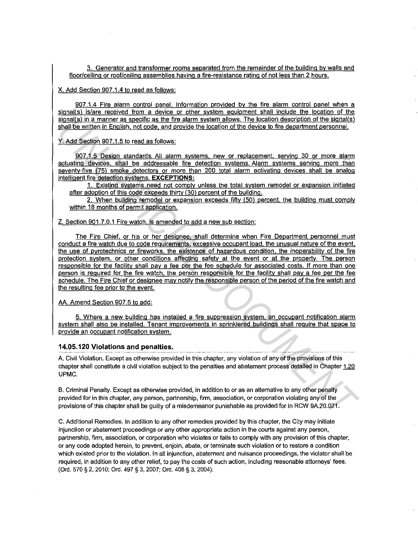3. Generator and transformer rooms separated from the remainder of the building by walls and floor/ceiling or roof/ceiling assemblies having a fire-resistance rating of not less than 2 hours.

X. Add Section 907.1.4 to read as follows:

907.1.4 Fire alarm control panel. Information provided by the fire alarm control panel when a signal(s) is/are received from a device or other system equipment shall include the location of the signal(s) in a manner as specific as the fire alarm system allows. The location description of the signal(s) shall be written in English, not code, and provide the location of the device to fire department personnel.

Y. Add Section 907.1.5 to read as follows:

907.1.5 Design standards. All alarm systems. new or replacement. serving 30 or more alarm actuating devices. shall be addressable fire detection systems. Alarm systems serving more than seventy-five (75) smoke detectors or more than 200 total alarm activating devices shall be analog intelligent fire detection systems. **EXCEPTIONS:** 

1. Existing systems need not comply unless the total system remodel or expansion initiated after adoption of this code exceeds thirty (30) percent of the building.

2. When building remodel or expansion exceeds fifty (50) percent. the building must comply within 18 months of permit application.

Z. Section 901.7.0.1 Fire watch. is amended to add a new sub section:

The Fire Chief. or his or her designee. shall determine when Fire Department personnel must conduct a fire watch due to code requirements, excessive occupant load, the unusual nature of the event, the use of pyrotechnics or fireworks, the existence of hazardous condition. the inoperability of the fire protection system. or other conditions affecting safety at the event or at the property. The person responsible for the facility shall pay a fee per the fee schedule for associated costs. If more than one person is required for the fire watch, the person responsible for the facility shall pay a fee per the fee schedule. The Fire Chief or designee may notify the responsible person of the period of the fire watch and the resulting fee prior to the event. singligh in a manner as specific as the fits alarm system aliceus. The location description of the sizual shall be written in English, not cost a and provide the location of the device to fire department personnel.<br>
Y. Add

AA. Amend Section 907 .5 to add:

5. Where a new building has installed a fire suppression system. an occupant notification alarm system shall also be installed. Tenant improvements in sprinklered buildings shall require that space to provide an occupant notification system.

#### **14.05.120 Violations and penalties.**

A. Civil Violation. Except as otherwise provided in this chapter, any violation of any of the provisions of this chapter shall constitute a civil violation subject to the penalties and abatement process detailed in Chapter 1.20 UPMC.

B. Criminal Penalty. Except as otherwise provided, in addition to or as an alternative to any other penalty provided for in this chapter, any person, partnership, firm, association, or corporation violating any of the provisions of this chapter shall be guilty of a misdemeanor punishable as provided for in RCW 9A.20.021.

C. Additional Remedies. In addition to any other remedies provided by this chapter, the City may initiate injunction or abatement proceedings or any other appropriate action in the courts against any person, partnership, firm, association, or corporation who violates or fails to comply with any provision of this chapter, or any code adopted herein, to prevent, enjoin, abate, or terminate such violation or to restore a condition which existed prior to the violation. In all injunction, abatement and nuisance proceedings, the violator shall be required, in addition to any other relief, to pay the costs of such action, including reasonable attorneys' fees. (Ord. 570 § 2, 2010; Ord. 497 § 3, 2007; Ord. 408 § 3, 2004).